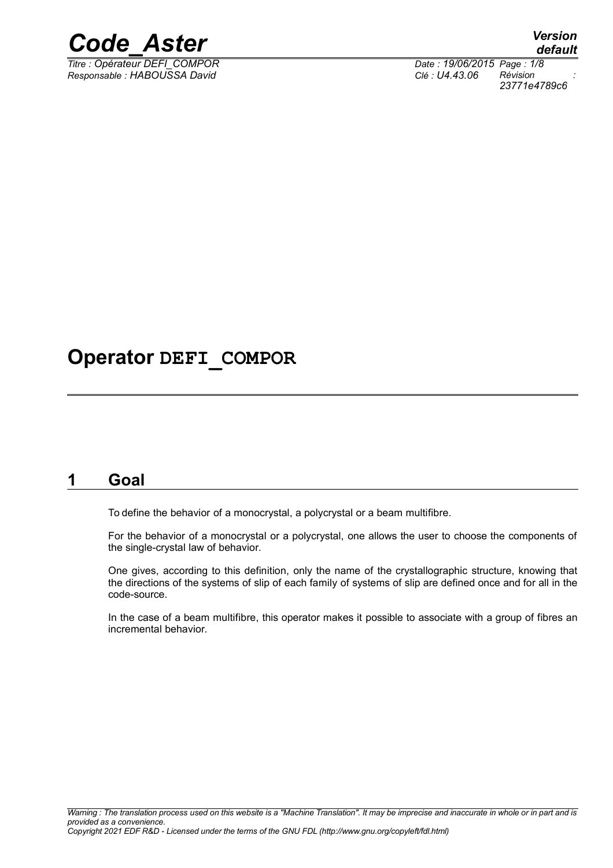

*Titre : Opérateur DEFI\_COMPOR Date : 19/06/2015 Page : 1/8 Responsable : HABOUSSA David Clé : U4.43.06 Révision :*

*23771e4789c6*

# **Operator DEFI\_COMPOR**

## **1 Goal**

To define the behavior of a monocrystal, a polycrystal or a beam multifibre.

For the behavior of a monocrystal or a polycrystal, one allows the user to choose the components of the single-crystal law of behavior.

One gives, according to this definition, only the name of the crystallographic structure, knowing that the directions of the systems of slip of each family of systems of slip are defined once and for all in the code-source.

In the case of a beam multifibre, this operator makes it possible to associate with a group of fibres an incremental behavior.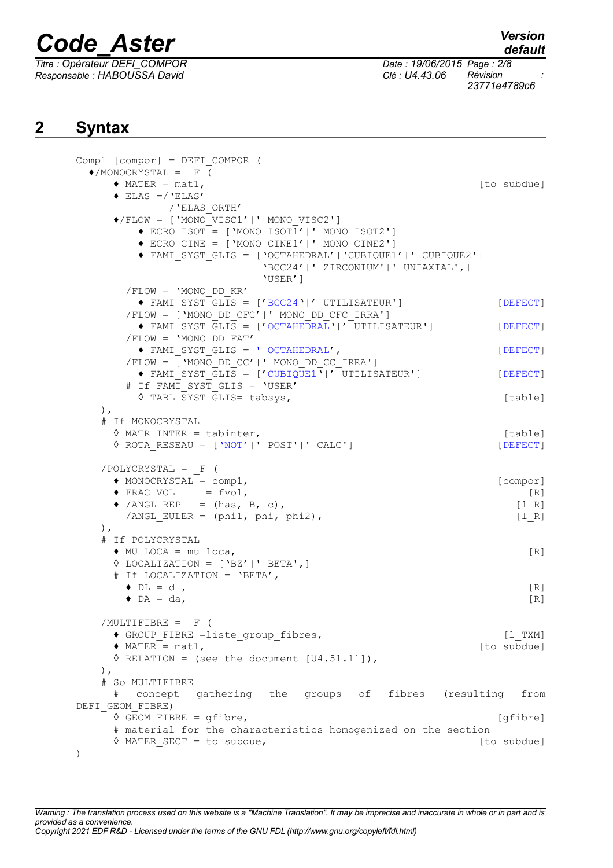*Responsable : HABOUSSA David Clé : U4.43.06 Révision :*

*default*

*Titre : Opérateur DEFI\_COMPOR Date : 19/06/2015 Page : 2/8 23771e4789c6*

# **2 Syntax**

```
Comp1 [compor] = DEFI_COMPOR (
 \triangle/MONOCRYSTAL = F (
     \triangle MATER = \overline{\text{mat}},
     \triangleleft ELAS =/'ELAS'
            /'ELAS_ORTH'
     ♦/FLOW = ['MONO_VISC1'|' MONO_VISC2']
         \triangle ECRO ISOT = ['MONO ISOT1'|' MONO ISOT2']
         ♦ ECRO_CINE = ['MONO_CINE1'|' MONO_CINE2']
         ♦ FAMI_SYST_GLIS = ['OCTAHEDRAL'|'CUBIQUE1'|' CUBIQUE2'|
                           'BCC24'|' ZIRCONIUM'|' UNIAXIAL',|
                           'USER']
       /FLOW = 'MONO_DD_KR'
         ♦ FAMI_SYST_GLIS = ['BCC24'|' UTILISATEUR'] [DEFECT]
       /FLOW = \sqrt{\ } 'MONO DD CFC' |' MONO DD CFC IRRA']
         ♦ FAMI_SYST_GLIS = ['OCTAHEDRAL'|' UTILISATEUR'] [DEFECT]
       /FLOW = 'MONO_DD_FAT'
         ♦ FAMI_SYST_GLIS = ' OCTAHEDRAL', [DEFECT]
       /FLOW = ['MONO_DD_CC'|' MONO_DD_CC_IRRA']
         \blacklozenge FAMI SYST \overline{GLIS} = ['CUBIQUE1\overline{'}] ['UTLISATEUR'] [DEFECT]
       # If FAMI SYST GLIS = 'USER'
         ◊ TABL_SYST_GLIS= tabsys, [table]
   ),
   # If MONOCRYSTAL
     ◊ MATR_INTER = tabinter, [table]
     ◊ ROTA_RESEAU = ['NOT'|' POST'|' CALC'] [DEFECT]
   /POLYCRYSTAL = _F (
     \bullet MONOCRYSTAL = comp1,
     \blacklozenge FRAC VOL = fvol, [R]\blacklozenge /ANGL_REP = (has, B, c), [1_R]/ANGL EULER = (\text{phi1}, \text{phi2}), [l_R]
   ),
   # If POLYCRYSTAL
     ♦ MU_LOCA = mu_loca, [R]
     ◊ LOCALIZATION = ['BZ'|' BETA',]
     # If LOCALIZATION = 'BETA',
       \blacklozenge DL = dl, [R]\bullet DA = da, [R]
   /MULTIFIBRE = F (◆ GROUP FIBRE =liste group fibres, (1 TXM)
     \triangle MATER = mat1, \overline{\hspace{1cm}} = \overline{\hspace{1cm}} = \overline{\hspace{1cm}} = \overline{\hspace{1cm}} = \overline{\hspace{1cm}} = \overline{\hspace{1cm}} = \overline{\hspace{1cm}} = \overline{\hspace{1cm}} = \overline{\hspace{1cm}} = \overline{\hspace{1cm}} = \overline{\hspace{1cm}} = \overline{\hspace{1cm}} = \overline{\hspace{1cm}} = \overline{\hspace\Diamond RELATION = (see the document [U4.51.11]),
   ),
   # So MULTIFIBRE
     # concept gathering the groups of fibres (resulting from
DEFI_GEOM_FIBRE)
     ◊ GEOM_FIBRE = gfibre, [gfibre]
     # material for the characteristics homogenized on the section
     ◊ MATER_SECT = to subdue, [to subdue]
)
```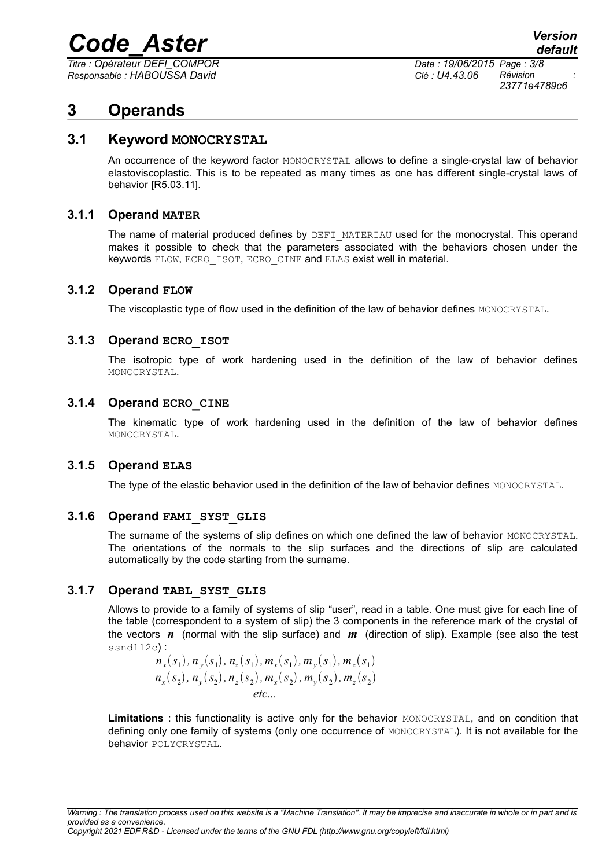*Titre : Opérateur DEFI\_COMPOR Date : 19/06/2015 Page : 3/8 Responsable : HABOUSSA David Clé : U4.43.06 Révision :*

*23771e4789c6*

## **3 Operands**

### **3.1 Keyword MONOCRYSTAL**

An occurrence of the keyword factor MONOCRYSTAL allows to define a single-crystal law of behavior elastoviscoplastic. This is to be repeated as many times as one has different single-crystal laws of behavior [R5.03.11].

#### **3.1.1 Operand MATER**

The name of material produced defines by DEFI\_MATERIAU used for the monocrystal. This operand makes it possible to check that the parameters associated with the behaviors chosen under the keywords FLOW, ECRO\_ISOT, ECRO\_CINE and ELAS exist well in material.

#### **3.1.2 Operand FLOW**

The viscoplastic type of flow used in the definition of the law of behavior defines MONOCRYSTAL.

#### **3.1.3 Operand ECRO\_ISOT**

The isotropic type of work hardening used in the definition of the law of behavior defines MONOCRYSTAL.

#### **3.1.4 Operand ECRO\_CINE**

The kinematic type of work hardening used in the definition of the law of behavior defines MONOCRYSTAL.

#### **3.1.5 Operand ELAS**

The type of the elastic behavior used in the definition of the law of behavior defines MONOCRYSTAL.

#### **3.1.6 Operand FAMI\_SYST\_GLIS**

The surname of the systems of slip defines on which one defined the law of behavior MONOCRYSTAL. The orientations of the normals to the slip surfaces and the directions of slip are calculated automatically by the code starting from the surname.

#### **3.1.7 Operand TABL\_SYST\_GLIS**

Allows to provide to a family of systems of slip "user", read in a table. One must give for each line of the table (correspondent to a system of slip) the 3 components in the reference mark of the crystal of the vectors *n* (normal with the slip surface) and *m* (direction of slip). Example (see also the test ssnd112c) :

$$
n_x(s_1), n_y(s_1), n_z(s_1), m_x(s_1), m_y(s_1), m_z(s_1)
$$
  
\n
$$
n_x(s_2), n_y(s_2), n_z(s_2), m_x(s_2), m_y(s_2), m_z(s_2)
$$
  
\netc...

**Limitations** : this functionality is active only for the behavior MONOCRYSTAL, and on condition that defining only one family of systems (only one occurrence of MONOCRYSTAL). It is not available for the behavior POLYCRYSTAL.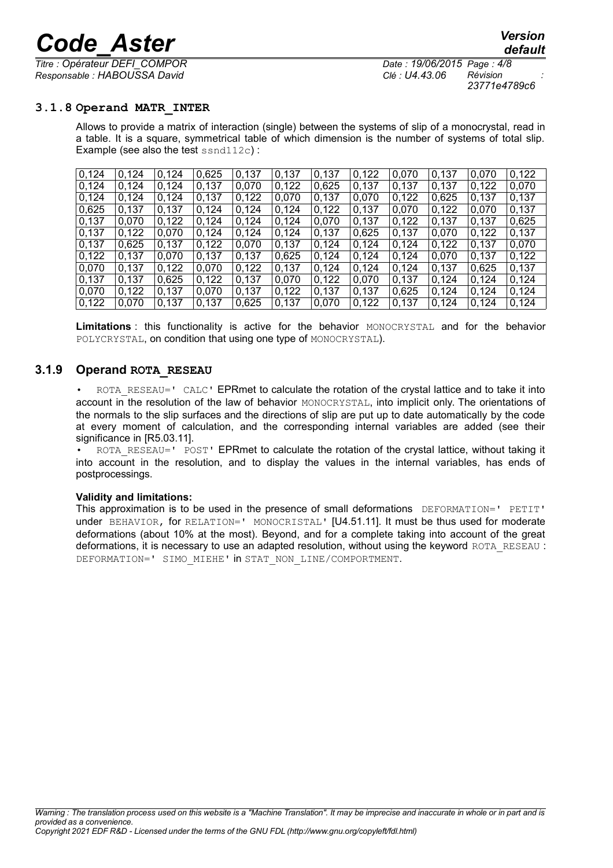*Titre : Opérateur DEFI\_COMPOR Date : 19/06/2015 Page : 4/8 Responsable : HABOUSSA David Clé : U4.43.06 Révision :*

*23771e4789c6*

#### **3.1.8 Operand MATR\_INTER**

Allows to provide a matrix of interaction (single) between the systems of slip of a monocrystal, read in a table. It is a square, symmetrical table of which dimension is the number of systems of total slip. Example (see also the test ssnd112c):

| 0,124 | 0.124 | 0,124 | 0,625 | 0,137 | 0,137 | 0,137 | 0,122 | 0,070 | 0.137 | 0.070 | 0,122 |
|-------|-------|-------|-------|-------|-------|-------|-------|-------|-------|-------|-------|
| 0,124 | 0.124 | 0.124 | 0.137 | 0,070 | 0,122 | 0,625 | 0,137 | 0,137 | 0.137 | 0,122 | 0,070 |
| 0,124 | 0,124 | 0,124 | 0,137 | 0,122 | 0,070 | 0,137 | 0,070 | 0,122 | 0,625 | 0,137 | 0,137 |
| 0,625 | 0,137 | 0,137 | 0,124 | 0,124 | 0,124 | 0,122 | 0,137 | 0,070 | 0,122 | 0,070 | 0,137 |
| 0,137 | 0,070 | 0,122 | 0,124 | 0,124 | 0,124 | 0,070 | 0,137 | 0.122 | 0,137 | 0,137 | 0,625 |
| 0,137 | 0,122 | 0,070 | 0,124 | 0,124 | 0,124 | 0,137 | 0,625 | 0,137 | 0,070 | 0,122 | 0,137 |
| 0,137 | 0,625 | 0,137 | 0,122 | 0,070 | 0,137 | 0,124 | 0,124 | 0,124 | 0,122 | 0,137 | 0,070 |
| 0,122 | 0,137 | 0,070 | 0,137 | 0,137 | 0,625 | 0,124 | 0,124 | 0,124 | 0,070 | 0,137 | 0,122 |
| 0,070 | 0.137 | 0.122 | 0,070 | 0,122 | 0,137 | 0.124 | 0,124 | 0,124 | 0,137 | 0,625 | 0,137 |
| 0,137 | 0.137 | 0,625 | 0,122 | 0,137 | 0,070 | 0,122 | 0.070 | 0.137 | 0.124 | 0,124 | 0,124 |
| 0,070 | 0,122 | 0,137 | 0,070 | 0.137 | 0,122 | 0,137 | 0,137 | 0,625 | 0,124 | 0,124 | 0,124 |
| 0,122 | 0.070 | 0.137 | 0.137 | 0.625 | 0.137 | 0.070 | 0.122 | 0,137 | 0,124 | 0.124 | 0,124 |

**Limitations** : this functionality is active for the behavior MONOCRYSTAL and for the behavior POLYCRYSTAL, on condition that using one type of MONOCRYSTAL).

#### **3.1.9 Operand ROTA\_RESEAU**

ROTA\_RESEAU=' CALC' EPRmet to calculate the rotation of the crystal lattice and to take it into account in the resolution of the law of behavior MONOCRYSTAL, into implicit only. The orientations of the normals to the slip surfaces and the directions of slip are put up to date automatically by the code at every moment of calculation, and the corresponding internal variables are added (see their significance in [R5.03.11].

ROTA\_RESEAU=' POST' EPRmet to calculate the rotation of the crystal lattice, without taking it into account in the resolution, and to display the values in the internal variables, has ends of postprocessings.

#### **Validity and limitations:**

This approximation is to be used in the presence of small deformations DEFORMATION=' PETIT' under BEHAVIOR, for RELATION=' MONOCRISTAL' [U4.51.11]. It must be thus used for moderate deformations (about 10% at the most). Beyond, and for a complete taking into account of the great deformations, it is necessary to use an adapted resolution, without using the keyword ROTA\_RESEAU : DEFORMATION=' SIMO MIEHE' in STAT\_NON\_LINE/COMPORTMENT.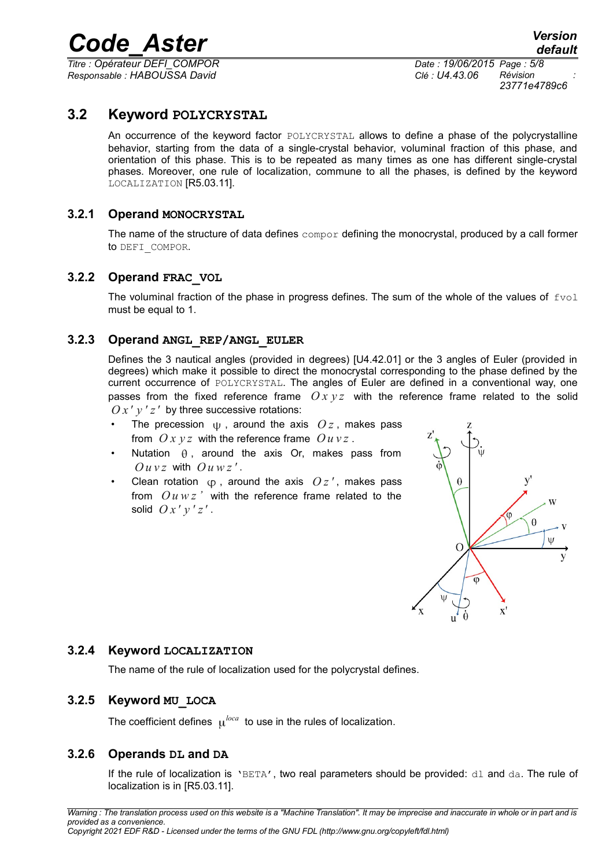*Titre : Opérateur DEFI\_COMPOR Date : 19/06/2015 Page : 5/8 Responsable : HABOUSSA David Clé : U4.43.06 Révision :*

*23771e4789c6*

### **3.2 Keyword POLYCRYSTAL**

An occurrence of the keyword factor POLYCRYSTAL allows to define a phase of the polycrystalline behavior, starting from the data of a single-crystal behavior, voluminal fraction of this phase, and orientation of this phase. This is to be repeated as many times as one has different single-crystal phases. Moreover, one rule of localization, commune to all the phases, is defined by the keyword LOCALIZATION [R5.03.11].

#### **3.2.1 Operand MONOCRYSTAL**

The name of the structure of data defines compor defining the monocrystal, produced by a call former to DEFI\_COMPOR.

#### **3.2.2 Operand FRAC\_VOL**

The voluminal fraction of the phase in progress defines. The sum of the whole of the values of  $fvol$ must be equal to 1.

#### **3.2.3 Operand ANGL\_REP/ANGL\_EULER**

Defines the 3 nautical angles (provided in degrees) [U4.42.01] or the 3 angles of Euler (provided in degrees) which make it possible to direct the monocrystal corresponding to the phase defined by the current occurrence of POLYCRYSTAL. The angles of Euler are defined in a conventional way, one passes from the fixed reference frame  $Oxyz$  with the reference frame related to the solid  $O x' y' z'$  by three successive rotations:

- The precession  $\psi$ , around the axis  $Oz$ , makes pass from  $Ox y z$  with the reference frame  $Ou y z$ .
- Nutation  $\theta$ , around the axis Or, makes pass from  $\Omega$ *u*  $vz$  with  $\Omega$ *u*  $wz'$ .
- Clean rotation  $\phi$ , around the axis  $Oz'$ , makes pass from  $\int$ *u*  $wz$  *i* with the reference frame related to the solid  $O x' y' z'$ .



#### **3.2.4 Keyword LOCALIZATION**

The name of the rule of localization used for the polycrystal defines.

#### **3.2.5 Keyword MU\_LOCA**

The coefficient defines  $\mu^{local}$  to use in the rules of localization.

#### **3.2.6 Operands DL and DA**

If the rule of localization is 'BETA', two real parameters should be provided: dl and da. The rule of localization is in [R5.03.11].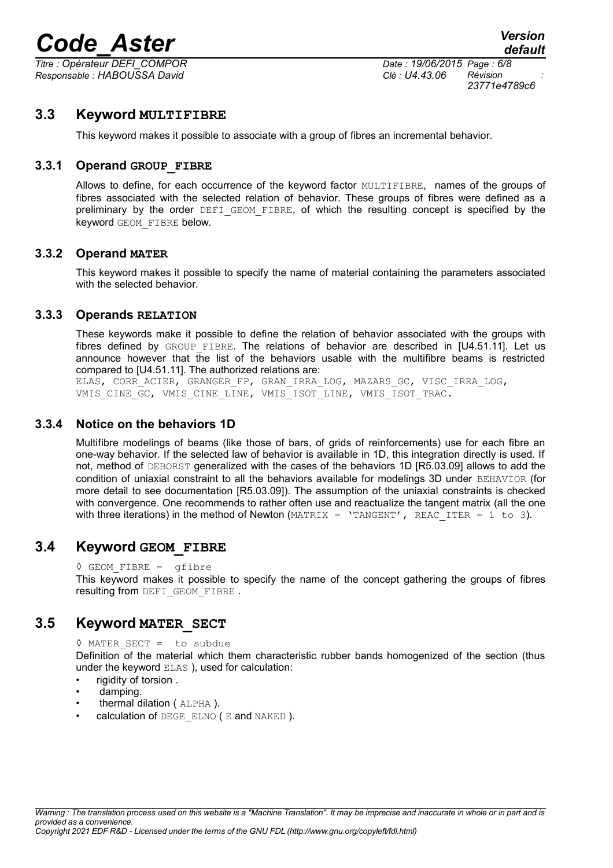*Titre : Opérateur DEFI\_COMPOR Date : 19/06/2015 Page : 6/8 Responsable : HABOUSSA David Clé : U4.43.06 Révision :*

*23771e4789c6*

### **3.3 Keyword MULTIFIBRE**

This keyword makes it possible to associate with a group of fibres an incremental behavior.

#### **3.3.1 Operand GROUP\_FIBRE**

Allows to define, for each occurrence of the keyword factor MULTIFIBRE, names of the groups of fibres associated with the selected relation of behavior. These groups of fibres were defined as a preliminary by the order DEFI\_GEOM\_FIBRE, of which the resulting concept is specified by the keyword GEOM\_FIBRE below.

#### **3.3.2 Operand MATER**

This keyword makes it possible to specify the name of material containing the parameters associated with the selected behavior.

#### **3.3.3 Operands RELATION**

These keywords make it possible to define the relation of behavior associated with the groups with fibres defined by GROUP FIBRE. The relations of behavior are described in [U4.51.11]. Let us announce however that the list of the behaviors usable with the multifibre beams is restricted compared to [U4.51.11]. The authorized relations are:

ELAS, CORR\_ACIER, GRANGER\_FP, GRAN\_IRRA\_LOG, MAZARS\_GC, VISC\_IRRA\_LOG, VMIS\_CINE\_GC, VMIS\_CINE\_LINE, VMIS\_ISOT\_LINE, VMIS\_ISOT\_TRAC.

#### **3.3.4 Notice on the behaviors 1D**

Multifibre modelings of beams (like those of bars, of grids of reinforcements) use for each fibre an one-way behavior. If the selected law of behavior is available in 1D, this integration directly is used. If not, method of DEBORST generalized with the cases of the behaviors 1D [R5.03.09] allows to add the condition of uniaxial constraint to all the behaviors available for modelings 3D under BEHAVIOR (for more detail to see documentation [R5.03.09]). The assumption of the uniaxial constraints is checked with convergence. One recommends to rather often use and reactualize the tangent matrix (all the one with three iterations) in the method of Newton  $(MATRIX = 'TANGENT', REACITER = 1 to 3)$ .

### **3.4 Keyword GEOM\_FIBRE**

 $\Diamond$  GEOM FIBRE = gfibre

This keyword makes it possible to specify the name of the concept gathering the groups of fibres resulting from DEFI\_GEOM\_FIBRE .

#### **3.5 Keyword MATER\_SECT**

◊ MATER\_SECT = to subdue Definition of the material which them characteristic rubber bands homogenized of the section (thus under the keyword ELAS ), used for calculation:

- rigidity of torsion .
- damping.
- thermal dilation ( ALPHA ).
- calculation of DEGE\_ELNO (E and NAKED).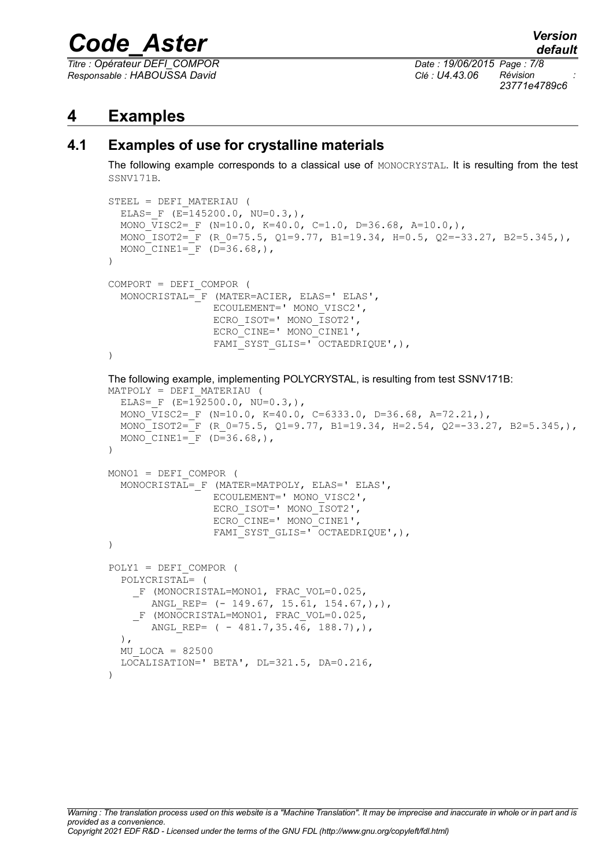*Titre : Opérateur DEFI\_COMPOR Date : 19/06/2015 Page : 7/8 Responsable : HABOUSSA David Clé : U4.43.06 Révision :*

*23771e4789c6*

## **4 Examples**

## **4.1 Examples of use for crystalline materials**

The following example corresponds to a classical use of MONOCRYSTAL. It is resulting from the test SSNV171B.

```
STEEL = DEFI_MATERIAU (
  ELAS= F (E=145200.0, NU=0.3,),
  MONO VISC2= F (N=10.0, K=40.0, C=1.0, D=36.68, A=10.0,),
  MONO ISOT2= F (R 0=75.5, Q1=9.77, B1=19.34, H=0.5, Q2=-33.27, B2=5.345,),
  MONO CINE1= F (D=36.68),
\lambdaCOMPORT = DEFI_COMPOR (
  MONOCRISTAL= F (MATER=ACIER, ELAS=' ELAS',
                  ECOULEMENT=' MONO_VISC2',
                  ECRO ISOT=' MONO ISOT2',
                  ECRO<sup>CINE='</sup> MONO<sup>CINE1'</sup>,
                  FAMI SYST GLIS=' OCTAEDRIQUE', ),
)
The following example, implementing POLYCRYSTAL, is resulting from test SSNV171B:
MATPOLY = DEFI_MATERIAU (
  ELAS= F (E=192500.0, NU=0.3),
  MONO VISC2= F (N=10.0, K=40.0, C=6333.0, D=36.68, A=72.21,),MONO ISOT2= F (R 0=75.5, Q1=9.77, B1=19.34, H=2.54, Q2=-33.27, B2=5.345,),
  MONO CINE1= F (D=36.68),
)
MONO1 = DEFI_COMPOR (
  MONOCRISTAL= F (MATER=MATPOLY, ELAS=' ELAS',
                  ECOULEMENT=' MONO_VISC2',
                  ECRO ISOT=' MONO ISOT2',
                  ECRO_CINE=' MONO_CINE1',
                  FAMI_SYST_GLIS=' OCTAEDRIQUE',),
)
POLY1 = DEFI_COMPOR (
  POLYCRISTAL= (
    F (MONOCRISTAL=MONO1, FRAC VOL=0.025,
       ANGL REP= (- 149.67, 15.\overline{61}, 154.67,),F (MONOCRISTAL=MONO1, FRAC VOL=0.025,
       ANGL REP= (- 481.7, 35.46, 188.7),),
  MU LOCA = 82500
  LOCALISATION=' BETA', DL=321.5, DA=0.216,
\lambda
```